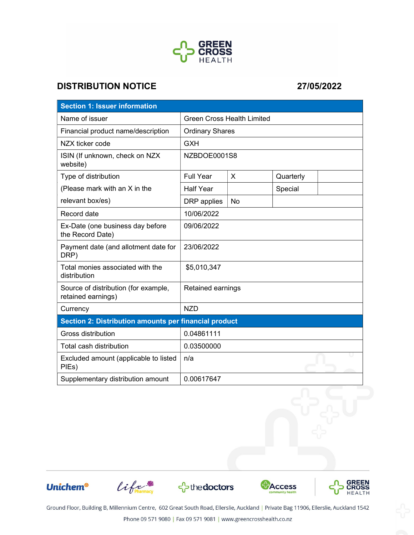

## DISTRIBUTION NOTICE 27/05/2022

| <b>Section 1: Issuer information</b>                       |                                   |           |           |  |
|------------------------------------------------------------|-----------------------------------|-----------|-----------|--|
| Name of issuer                                             | <b>Green Cross Health Limited</b> |           |           |  |
| Financial product name/description                         | <b>Ordinary Shares</b>            |           |           |  |
| NZX ticker code                                            | <b>GXH</b>                        |           |           |  |
| ISIN (If unknown, check on NZX<br>website)                 | NZBDOE0001S8                      |           |           |  |
| Type of distribution                                       | <b>Full Year</b>                  | X         | Quarterly |  |
| (Please mark with an X in the                              | <b>Half Year</b>                  |           | Special   |  |
| relevant box/es)                                           | DRP applies                       | <b>No</b> |           |  |
| Record date                                                | 10/06/2022                        |           |           |  |
| Ex-Date (one business day before<br>the Record Date)       | 09/06/2022                        |           |           |  |
| Payment date (and allotment date for<br>DRP)               | 23/06/2022                        |           |           |  |
| Total monies associated with the<br>distribution           | \$5,010,347                       |           |           |  |
| Source of distribution (for example,<br>retained earnings) | Retained earnings                 |           |           |  |
| Currency                                                   | <b>NZD</b>                        |           |           |  |
| Section 2: Distribution amounts per financial product      |                                   |           |           |  |
| Gross distribution                                         | 0.04861111                        |           |           |  |
| Total cash distribution                                    | 0.03500000                        |           |           |  |
| Excluded amount (applicable to listed<br>PIEs)             | n/a                               |           |           |  |
| Supplementary distribution amount                          | 0.00617647                        |           |           |  |

**Unichem®** 









Ground Floor, Building B, Millennium Centre, 602 Great South Road, Ellerslie, Auckland | Private Bag 11906, Ellerslie, Auckland 1542